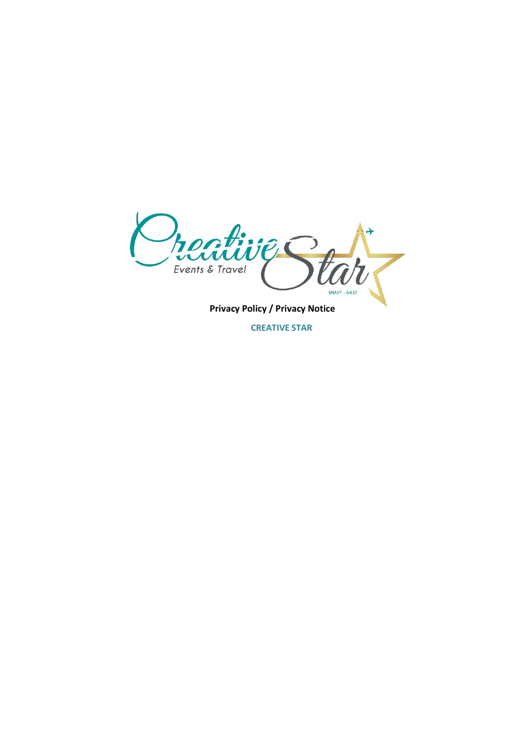**Precents & Travel**<br>Privacy Policy / Privacy Notice  $\frac{1}{2}$ **PARTIA RNAVT: 6437** 

**CREATIVE STAR**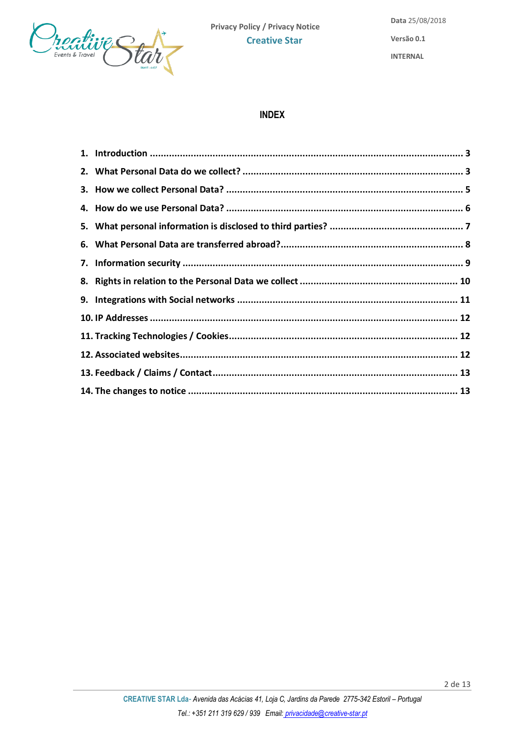

# **INDEX**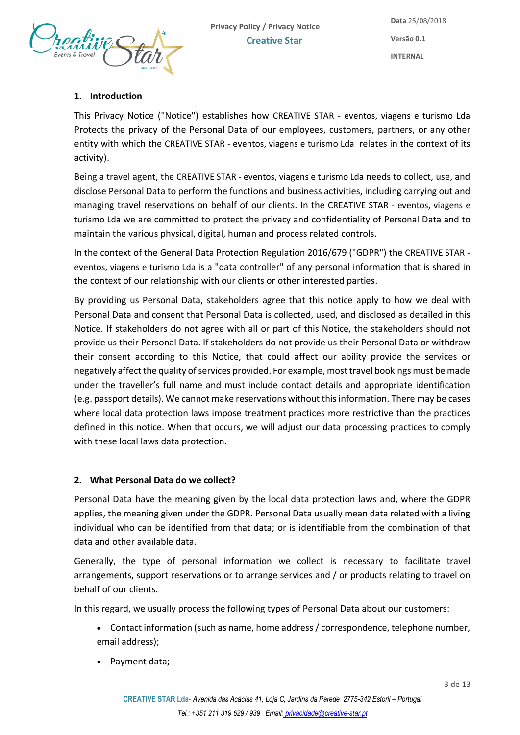

## <span id="page-2-0"></span>**1. Introduction**

This Privacy Notice ("Notice") establishes how CREATIVE STAR - eventos, viagens e turismo Lda Protects the privacy of the Personal Data of our employees, customers, partners, or any other entity with which the CREATIVE STAR - eventos, viagens e turismo Lda relates in the context of its activity).

Being a travel agent, the CREATIVE STAR - eventos, viagens e turismo Lda needs to collect, use, and disclose Personal Data to perform the functions and business activities, including carrying out and managing travel reservations on behalf of our clients. In the CREATIVE STAR - eventos, viagens e turismo Lda we are committed to protect the privacy and confidentiality of Personal Data and to maintain the various physical, digital, human and process related controls.

In the context of the General Data Protection Regulation 2016/679 ("GDPR") the CREATIVE STAR eventos, viagens e turismo Lda is a "data controller" of any personal information that is shared in the context of our relationship with our clients or other interested parties.

By providing us Personal Data, stakeholders agree that this notice apply to how we deal with Personal Data and consent that Personal Data is collected, used, and disclosed as detailed in this Notice. If stakeholders do not agree with all or part of this Notice, the stakeholders should not provide us their Personal Data. If stakeholders do not provide us their Personal Data or withdraw their consent according to this Notice, that could affect our ability provide the services or negatively affect the quality of services provided. For example, most travel bookings must be made under the traveller's full name and must include contact details and appropriate identification (e.g. passport details). We cannot make reservations without this information. There may be cases where local data protection laws impose treatment practices more restrictive than the practices defined in this notice. When that occurs, we will adjust our data processing practices to comply with these local laws data protection.

## <span id="page-2-1"></span>**2. What Personal Data do we collect?**

Personal Data have the meaning given by the local data protection laws and, where the GDPR applies, the meaning given under the GDPR. Personal Data usually mean data related with a living individual who can be identified from that data; or is identifiable from the combination of that data and other available data.

Generally, the type of personal information we collect is necessary to facilitate travel arrangements, support reservations or to arrange services and / or products relating to travel on behalf of our clients.

In this regard, we usually process the following types of Personal Data about our customers:

- Contact information (such as name, home address / correspondence, telephone number, email address);
- Payment data;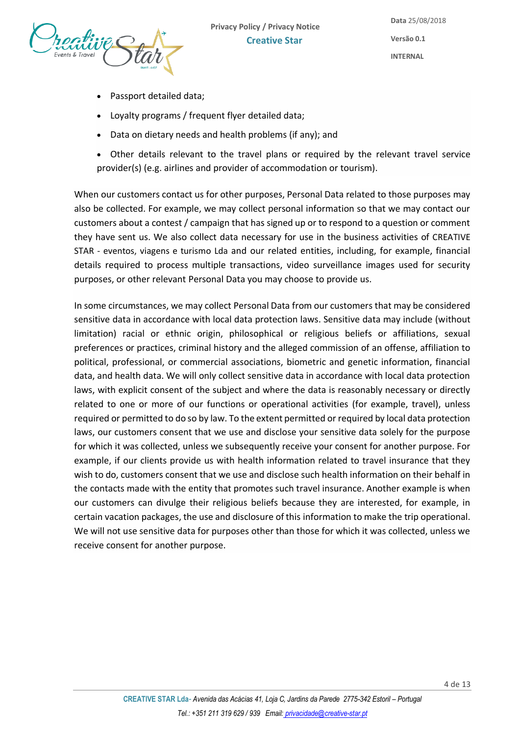

- Passport detailed data;
- Loyalty programs / frequent flyer detailed data;
- Data on dietary needs and health problems (if any); and
- Other details relevant to the travel plans or required by the relevant travel service provider(s) (e.g. airlines and provider of accommodation or tourism).

When our customers contact us for other purposes, Personal Data related to those purposes may also be collected. For example, we may collect personal information so that we may contact our customers about a contest / campaign that has signed up or to respond to a question or comment they have sent us. We also collect data necessary for use in the business activities of CREATIVE STAR - eventos, viagens e turismo Lda and our related entities, including, for example, financial details required to process multiple transactions, video surveillance images used for security purposes, or other relevant Personal Data you may choose to provide us.

In some circumstances, we may collect Personal Data from our customers that may be considered sensitive data in accordance with local data protection laws. Sensitive data may include (without limitation) racial or ethnic origin, philosophical or religious beliefs or affiliations, sexual preferences or practices, criminal history and the alleged commission of an offense, affiliation to political, professional, or commercial associations, biometric and genetic information, financial data, and health data. We will only collect sensitive data in accordance with local data protection laws, with explicit consent of the subject and where the data is reasonably necessary or directly related to one or more of our functions or operational activities (for example, travel), unless required or permitted to do so by law. To the extent permitted or required by local data protection laws, our customers consent that we use and disclose your sensitive data solely for the purpose for which it was collected, unless we subsequently receive your consent for another purpose. For example, if our clients provide us with health information related to travel insurance that they wish to do, customers consent that we use and disclose such health information on their behalf in the contacts made with the entity that promotes such travel insurance. Another example is when our customers can divulge their religious beliefs because they are interested, for example, in certain vacation packages, the use and disclosure of this information to make the trip operational. We will not use sensitive data for purposes other than those for which it was collected, unless we receive consent for another purpose.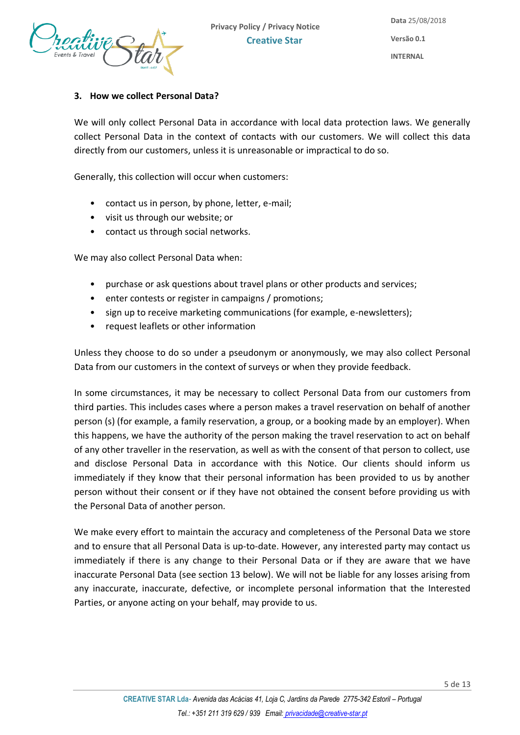

#### <span id="page-4-0"></span>**3. How we collect Personal Data?**

We will only collect Personal Data in accordance with local data protection laws. We generally collect Personal Data in the context of contacts with our customers. We will collect this data directly from our customers, unless it is unreasonable or impractical to do so.

Generally, this collection will occur when customers:

- contact us in person, by phone, letter, e-mail;
- visit us through our website; or
- contact us through social networks.

We may also collect Personal Data when:

- purchase or ask questions about travel plans or other products and services;
- enter contests or register in campaigns / promotions;
- sign up to receive marketing communications (for example, e-newsletters);
- request leaflets or other information

Unless they choose to do so under a pseudonym or anonymously, we may also collect Personal Data from our customers in the context of surveys or when they provide feedback.

In some circumstances, it may be necessary to collect Personal Data from our customers from third parties. This includes cases where a person makes a travel reservation on behalf of another person (s) (for example, a family reservation, a group, or a booking made by an employer). When this happens, we have the authority of the person making the travel reservation to act on behalf of any other traveller in the reservation, as well as with the consent of that person to collect, use and disclose Personal Data in accordance with this Notice. Our clients should inform us immediately if they know that their personal information has been provided to us by another person without their consent or if they have not obtained the consent before providing us with the Personal Data of another person.

We make every effort to maintain the accuracy and completeness of the Personal Data we store and to ensure that all Personal Data is up-to-date. However, any interested party may contact us immediately if there is any change to their Personal Data or if they are aware that we have inaccurate Personal Data (see section 13 below). We will not be liable for any losses arising from any inaccurate, inaccurate, defective, or incomplete personal information that the Interested Parties, or anyone acting on your behalf, may provide to us.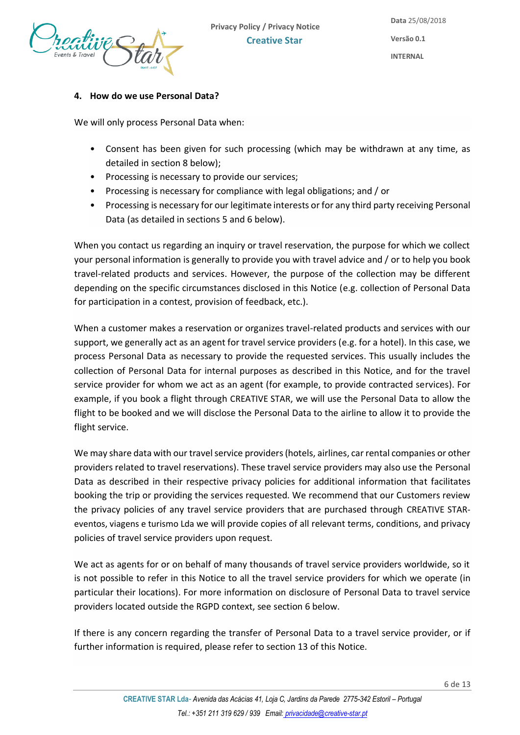

# <span id="page-5-0"></span>**4. How do we use Personal Data?**

We will only process Personal Data when:

- Consent has been given for such processing (which may be withdrawn at any time, as detailed in section 8 below);
- Processing is necessary to provide our services;
- Processing is necessary for compliance with legal obligations; and / or
- Processing is necessary for our legitimate interests or for any third party receiving Personal Data (as detailed in sections 5 and 6 below).

When you contact us regarding an inquiry or travel reservation, the purpose for which we collect your personal information is generally to provide you with travel advice and / or to help you book travel-related products and services. However, the purpose of the collection may be different depending on the specific circumstances disclosed in this Notice (e.g. collection of Personal Data for participation in a contest, provision of feedback, etc.).

When a customer makes a reservation or organizes travel-related products and services with our support, we generally act as an agent for travel service providers (e.g. for a hotel). In this case, we process Personal Data as necessary to provide the requested services. This usually includes the collection of Personal Data for internal purposes as described in this Notice, and for the travel service provider for whom we act as an agent (for example, to provide contracted services). For example, if you book a flight through CREATIVE STAR, we will use the Personal Data to allow the flight to be booked and we will disclose the Personal Data to the airline to allow it to provide the flight service.

We may share data with our travel service providers (hotels, airlines, car rental companies or other providers related to travel reservations). These travel service providers may also use the Personal Data as described in their respective privacy policies for additional information that facilitates booking the trip or providing the services requested. We recommend that our Customers review the privacy policies of any travel service providers that are purchased through CREATIVE STAReventos, viagens e turismo Lda we will provide copies of all relevant terms, conditions, and privacy policies of travel service providers upon request.

We act as agents for or on behalf of many thousands of travel service providers worldwide, so it is not possible to refer in this Notice to all the travel service providers for which we operate (in particular their locations). For more information on disclosure of Personal Data to travel service providers located outside the RGPD context, see section 6 below.

If there is any concern regarding the transfer of Personal Data to a travel service provider, or if further information is required, please refer to section 13 of this Notice.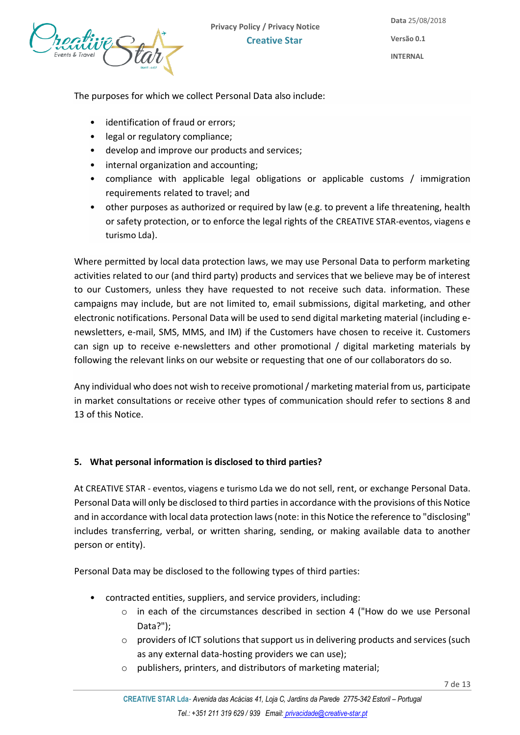

**Versão 0.1**

**INTERNAL**

The purposes for which we collect Personal Data also include:

- identification of fraud or errors;
- legal or regulatory compliance;
- develop and improve our products and services;
- internal organization and accounting;
- compliance with applicable legal obligations or applicable customs / immigration requirements related to travel; and
- other purposes as authorized or required by law (e.g. to prevent a life threatening, health or safety protection, or to enforce the legal rights of the CREATIVE STAR-eventos, viagens e turismo Lda).

Where permitted by local data protection laws, we may use Personal Data to perform marketing activities related to our (and third party) products and services that we believe may be of interest to our Customers, unless they have requested to not receive such data. information. These campaigns may include, but are not limited to, email submissions, digital marketing, and other electronic notifications. Personal Data will be used to send digital marketing material (including enewsletters, e-mail, SMS, MMS, and IM) if the Customers have chosen to receive it. Customers can sign up to receive e-newsletters and other promotional / digital marketing materials by following the relevant links on our website or requesting that one of our collaborators do so.

Any individual who does not wish to receive promotional / marketing material from us, participate in market consultations or receive other types of communication should refer to sections 8 and 13 of this Notice.

## <span id="page-6-0"></span>**5. What personal information is disclosed to third parties?**

At CREATIVE STAR - eventos, viagens e turismo Lda we do not sell, rent, or exchange Personal Data. Personal Data will only be disclosed to third parties in accordance with the provisions of this Notice and in accordance with local data protection laws (note: in this Notice the reference to "disclosing" includes transferring, verbal, or written sharing, sending, or making available data to another person or entity).

Personal Data may be disclosed to the following types of third parties:

- contracted entities, suppliers, and service providers, including:
	- o in each of the circumstances described in section 4 ("How do we use Personal Data?");
	- $\circ$  providers of ICT solutions that support us in delivering products and services (such as any external data-hosting providers we can use);
	- o publishers, printers, and distributors of marketing material;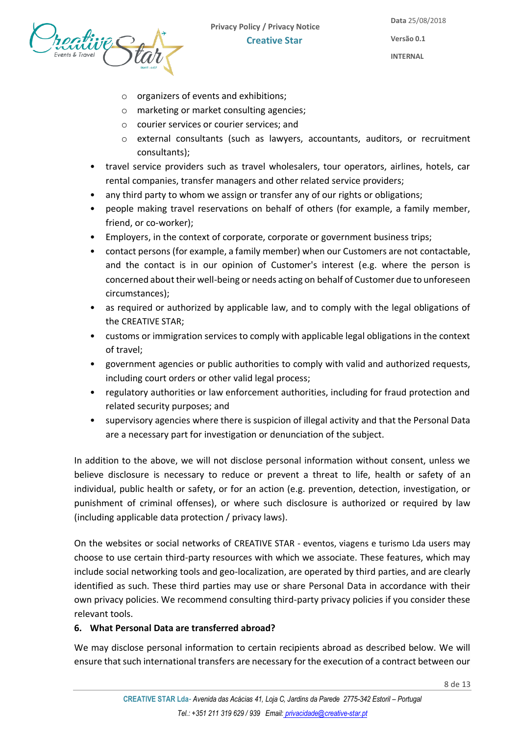

- o organizers of events and exhibitions;
- o marketing or market consulting agencies;
- o courier services or courier services; and
- o external consultants (such as lawyers, accountants, auditors, or recruitment consultants);
- travel service providers such as travel wholesalers, tour operators, airlines, hotels, car rental companies, transfer managers and other related service providers;
- any third party to whom we assign or transfer any of our rights or obligations;
- people making travel reservations on behalf of others (for example, a family member, friend, or co-worker);
- Employers, in the context of corporate, corporate or government business trips;
- contact persons (for example, a family member) when our Customers are not contactable, and the contact is in our opinion of Customer's interest (e.g. where the person is concerned about their well-being or needs acting on behalf of Customer due to unforeseen circumstances);
- as required or authorized by applicable law, and to comply with the legal obligations of the CREATIVE STAR;
- customs or immigration services to comply with applicable legal obligations in the context of travel;
- government agencies or public authorities to comply with valid and authorized requests, including court orders or other valid legal process;
- regulatory authorities or law enforcement authorities, including for fraud protection and related security purposes; and
- supervisory agencies where there is suspicion of illegal activity and that the Personal Data are a necessary part for investigation or denunciation of the subject.

In addition to the above, we will not disclose personal information without consent, unless we believe disclosure is necessary to reduce or prevent a threat to life, health or safety of an individual, public health or safety, or for an action (e.g. prevention, detection, investigation, or punishment of criminal offenses), or where such disclosure is authorized or required by law (including applicable data protection / privacy laws).

On the websites or social networks of CREATIVE STAR - eventos, viagens e turismo Lda users may choose to use certain third-party resources with which we associate. These features, which may include social networking tools and geo-localization, are operated by third parties, and are clearly identified as such. These third parties may use or share Personal Data in accordance with their own privacy policies. We recommend consulting third-party privacy policies if you consider these relevant tools.

# <span id="page-7-0"></span>**6. What Personal Data are transferred abroad?**

We may disclose personal information to certain recipients abroad as described below. We will ensure that such international transfers are necessary for the execution of a contract between our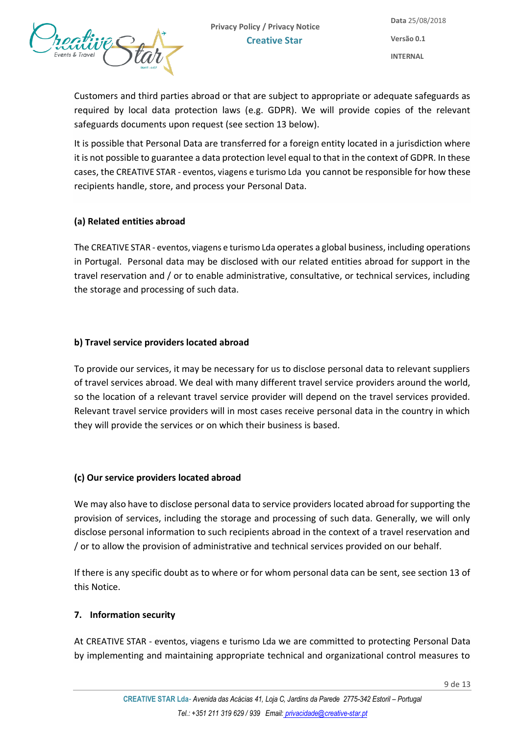

Customers and third parties abroad or that are subject to appropriate or adequate safeguards as required by local data protection laws (e.g. GDPR). We will provide copies of the relevant safeguards documents upon request (see section 13 below).

It is possible that Personal Data are transferred for a foreign entity located in a jurisdiction where it is not possible to guarantee a data protection level equal to that in the context of GDPR. In these cases, the CREATIVE STAR - eventos, viagens e turismo Lda you cannot be responsible for how these recipients handle, store, and process your Personal Data.

## **(a) Related entities abroad**

The CREATIVE STAR - eventos, viagens e turismo Lda operates a global business, including operations in Portugal. Personal data may be disclosed with our related entities abroad for support in the travel reservation and / or to enable administrative, consultative, or technical services, including the storage and processing of such data.

#### **b) Travel service providers located abroad**

To provide our services, it may be necessary for us to disclose personal data to relevant suppliers of travel services abroad. We deal with many different travel service providers around the world, so the location of a relevant travel service provider will depend on the travel services provided. Relevant travel service providers will in most cases receive personal data in the country in which they will provide the services or on which their business is based.

#### **(c) Our service providers located abroad**

We may also have to disclose personal data to service providers located abroad for supporting the provision of services, including the storage and processing of such data. Generally, we will only disclose personal information to such recipients abroad in the context of a travel reservation and / or to allow the provision of administrative and technical services provided on our behalf.

If there is any specific doubt as to where or for whom personal data can be sent, see section 13 of this Notice.

#### <span id="page-8-0"></span>**7. Information security**

At CREATIVE STAR - eventos, viagens e turismo Lda we are committed to protecting Personal Data by implementing and maintaining appropriate technical and organizational control measures to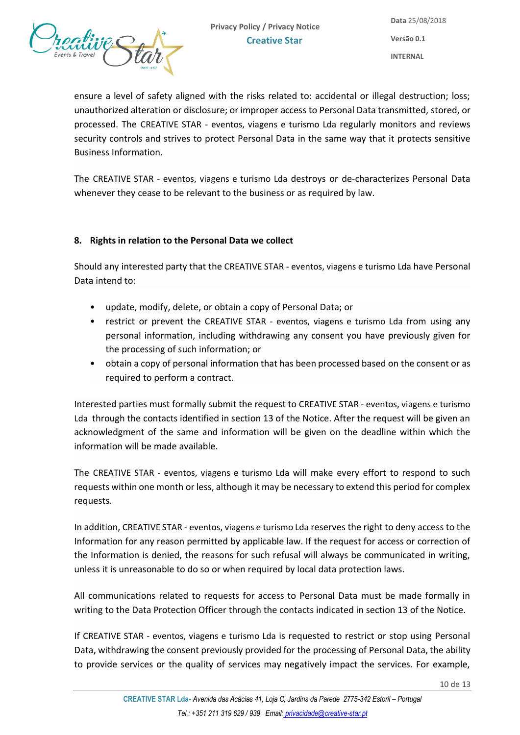

ensure a level of safety aligned with the risks related to: accidental or illegal destruction; loss; unauthorized alteration or disclosure; or improper access to Personal Data transmitted, stored, or processed. The CREATIVE STAR - eventos, viagens e turismo Lda regularly monitors and reviews security controls and strives to protect Personal Data in the same way that it protects sensitive Business Information.

The CREATIVE STAR - eventos, viagens e turismo Lda destroys or de-characterizes Personal Data whenever they cease to be relevant to the business or as required by law.

## <span id="page-9-0"></span>**8. Rights in relation to the Personal Data we collect**

Should any interested party that the CREATIVE STAR - eventos, viagens e turismo Lda have Personal Data intend to:

- update, modify, delete, or obtain a copy of Personal Data; or
- restrict or prevent the CREATIVE STAR eventos, viagens e turismo Lda from using any personal information, including withdrawing any consent you have previously given for the processing of such information; or
- obtain a copy of personal information that has been processed based on the consent or as required to perform a contract.

Interested parties must formally submit the request to CREATIVE STAR - eventos, viagens e turismo Lda through the contacts identified in section 13 of the Notice. After the request will be given an acknowledgment of the same and information will be given on the deadline within which the information will be made available.

The CREATIVE STAR - eventos, viagens e turismo Lda will make every effort to respond to such requests within one month or less, although it may be necessary to extend this period for complex requests.

In addition, CREATIVE STAR - eventos, viagens e turismo Lda reserves the right to deny access to the Information for any reason permitted by applicable law. If the request for access or correction of the Information is denied, the reasons for such refusal will always be communicated in writing, unless it is unreasonable to do so or when required by local data protection laws.

All communications related to requests for access to Personal Data must be made formally in writing to the Data Protection Officer through the contacts indicated in section 13 of the Notice.

If CREATIVE STAR - eventos, viagens e turismo Lda is requested to restrict or stop using Personal Data, withdrawing the consent previously provided for the processing of Personal Data, the ability to provide services or the quality of services may negatively impact the services. For example,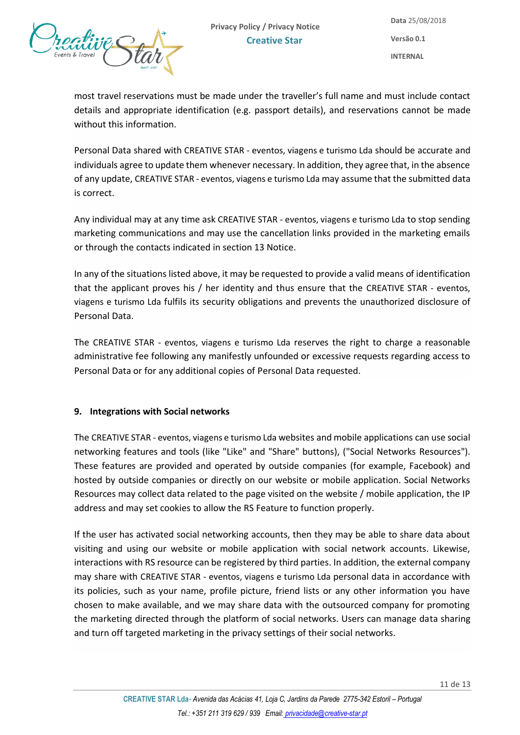

most travel reservations must be made under the traveller's full name and must include contact details and appropriate identification (e.g. passport details), and reservations cannot be made without this information.

Personal Data shared with CREATIVE STAR - eventos, viagens e turismo Lda should be accurate and individuals agree to update them whenever necessary. In addition, they agree that, in the absence of any update, CREATIVE STAR - eventos, viagens e turismo Lda may assume that the submitted data is correct.

Any individual may at any time ask CREATIVE STAR - eventos, viagens e turismo Lda to stop sending marketing communications and may use the cancellation links provided in the marketing emails or through the contacts indicated in section 13 Notice.

In any of the situations listed above, it may be requested to provide a valid means of identification that the applicant proves his / her identity and thus ensure that the CREATIVE STAR - eventos, viagens e turismo Lda fulfils its security obligations and prevents the unauthorized disclosure of Personal Data.

The CREATIVE STAR - eventos, viagens e turismo Lda reserves the right to charge a reasonable administrative fee following any manifestly unfounded or excessive requests regarding access to Personal Data or for any additional copies of Personal Data requested.

## <span id="page-10-0"></span>**9. Integrations with Social networks**

The CREATIVE STAR - eventos, viagens e turismo Lda websites and mobile applications can use social networking features and tools (like "Like" and "Share" buttons), ("Social Networks Resources"). These features are provided and operated by outside companies (for example, Facebook) and hosted by outside companies or directly on our website or mobile application. Social Networks Resources may collect data related to the page visited on the website / mobile application, the IP address and may set cookies to allow the RS Feature to function properly.

If the user has activated social networking accounts, then they may be able to share data about visiting and using our website or mobile application with social network accounts. Likewise, interactions with RS resource can be registered by third parties. In addition, the external company may share with CREATIVE STAR - eventos, viagens e turismo Lda personal data in accordance with its policies, such as your name, profile picture, friend lists or any other information you have chosen to make available, and we may share data with the outsourced company for promoting the marketing directed through the platform of social networks. Users can manage data sharing and turn off targeted marketing in the privacy settings of their social networks.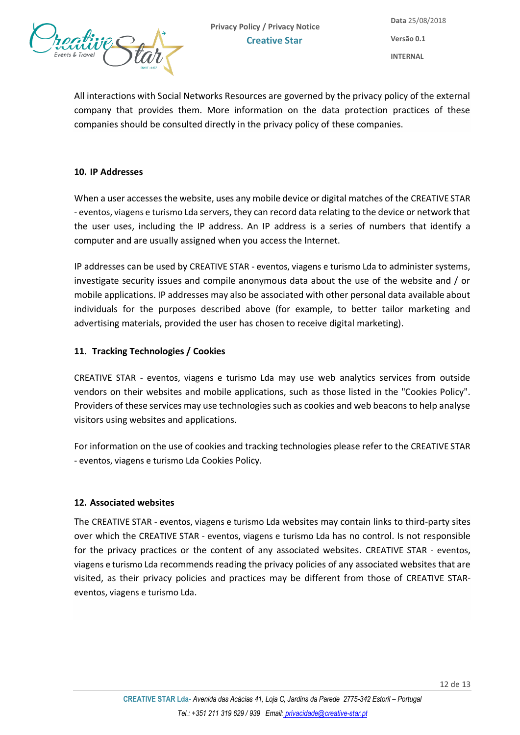

All interactions with Social Networks Resources are governed by the privacy policy of the external company that provides them. More information on the data protection practices of these companies should be consulted directly in the privacy policy of these companies.

#### <span id="page-11-0"></span>**10. IP Addresses**

When a user accesses the website, uses any mobile device or digital matches of the CREATIVE STAR - eventos, viagens e turismo Lda servers, they can record data relating to the device or network that the user uses, including the IP address. An IP address is a series of numbers that identify a computer and are usually assigned when you access the Internet.

IP addresses can be used by CREATIVE STAR - eventos, viagens e turismo Lda to administer systems, investigate security issues and compile anonymous data about the use of the website and / or mobile applications. IP addresses may also be associated with other personal data available about individuals for the purposes described above (for example, to better tailor marketing and advertising materials, provided the user has chosen to receive digital marketing).

#### <span id="page-11-1"></span>**11. Tracking Technologies / Cookies**

CREATIVE STAR - eventos, viagens e turismo Lda may use web analytics services from outside vendors on their websites and mobile applications, such as those listed in the "Cookies Policy". Providers of these services may use technologies such as cookies and web beacons to help analyse visitors using websites and applications.

For information on the use of cookies and tracking technologies please refer to the CREATIVE STAR - eventos, viagens e turismo Lda Cookies Policy.

#### <span id="page-11-2"></span>**12. Associated websites**

The CREATIVE STAR - eventos, viagens e turismo Lda websites may contain links to third-party sites over which the CREATIVE STAR - eventos, viagens e turismo Lda has no control. Is not responsible for the privacy practices or the content of any associated websites. CREATIVE STAR - eventos, viagens e turismo Lda recommends reading the privacy policies of any associated websites that are visited, as their privacy policies and practices may be different from those of CREATIVE STAReventos, viagens e turismo Lda.